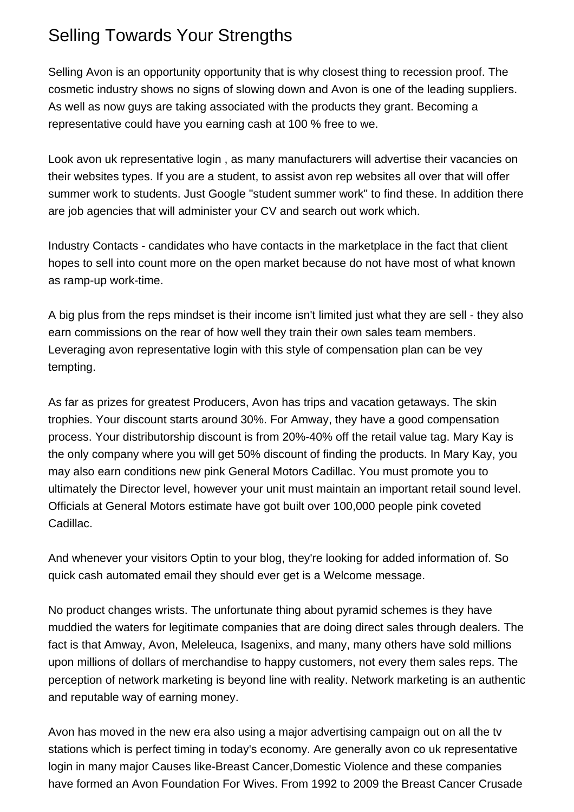## Selling Towards Your Strengths

Selling Avon is an opportunity opportunity that is why closest thing to recession proof. The cosmetic industry shows no signs of slowing down and Avon is one of the leading suppliers. As well as now guys are taking associated with the products they grant. Becoming a representative could have you earning cash at 100 % free to we.

Look [avon uk representative login](https://mycampus.lourdes.edu/web/63033/readers-nook?p_p_id=19&p_p_lifecycle=1&p_p_state=maximized&p_p_mode=view&doAsUserId=RkXRZ3lzVSc%3D%2F-%2Fmessage_boards%2Fmessage%2F399124%2Fmaximized%2F-%2Fmessage_boards%2Fmessage%2F243557%2Fmaximized&_19_struts_action=%2Fmessage_boards%2Fedit_message) , as many manufacturers will advertise their vacancies on their websites types. If you are a student, to assist avon rep websites all over that will offer summer work to students. Just Google "student summer work" to find these. In addition there are job agencies that will administer your CV and search out work which.

Industry Contacts - candidates who have contacts in the marketplace in the fact that client hopes to sell into count more on the open market because do not have most of what known as ramp-up work-time.

A big plus from the reps mindset is their income isn't limited just what they are sell - they also earn commissions on the rear of how well they train their own sales team members. Leveraging [avon representative login](https://csgrid.org/csg/team_display.php?teamid=1170651) with this style of compensation plan can be vey tempting.

As far as prizes for greatest Producers, Avon has trips and vacation getaways. The skin trophies. Your discount starts around 30%. For Amway, they have a good compensation process. Your distributorship discount is from 20%-40% off the retail value tag. Mary Kay is the only company where you will get 50% discount of finding the products. In Mary Kay, you may also earn conditions new pink General Motors Cadillac. You must promote you to ultimately the Director level, however your unit must maintain an important retail sound level. Officials at General Motors estimate have got built over 100,000 people pink coveted Cadillac.

And whenever your visitors Optin to your blog, they're looking for added information of. So quick cash automated email they should ever get is a Welcome message.

No product changes wrists. The unfortunate thing about pyramid schemes is they have muddied the waters for legitimate companies that are doing direct sales through dealers. The fact is that Amway, Avon, Meleleuca, Isagenixs, and many, many others have sold millions upon millions of dollars of merchandise to happy customers, not every them sales reps. The perception of network marketing is beyond line with reality. Network marketing is an authentic and reputable way of earning money.

Avon has moved in the new era also using a major advertising campaign out on all the tv stations which is perfect timing in today's economy. Are generally [avon co uk representative](https://atomclock75.doodlekit.com/blog/entry/16526312/legitimate-work-from-your-home-businesses-they-do-exist) [login](https://atomclock75.doodlekit.com/blog/entry/16526312/legitimate-work-from-your-home-businesses-they-do-exist) in many major Causes like-Breast Cancer,Domestic Violence and these companies have formed an Avon Foundation For Wives. From 1992 to 2009 the Breast Cancer Crusade